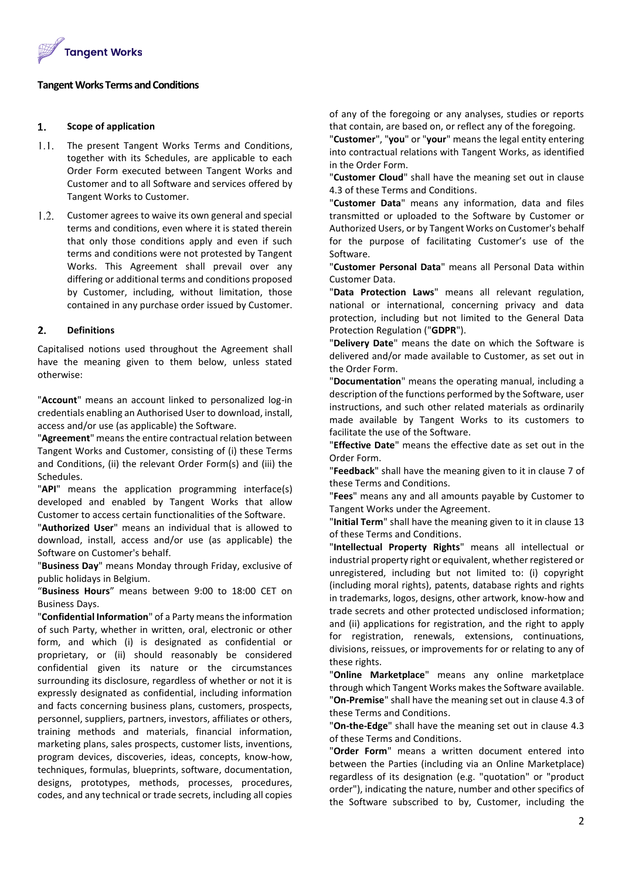

# **Tangent WorksTerms and Conditions**

## $1.$ **Scope of application**

- $1.1.$ The present Tangent Works Terms and Conditions, together with its Schedules, are applicable to each Order Form executed between Tangent Works and Customer and to all Software and services offered by Tangent Works to Customer.
- $1.2.$ Customer agrees to waive its own general and special terms and conditions, even where it is stated therein that only those conditions apply and even if such terms and conditions were not protested by Tangent Works. This Agreement shall prevail over any differing or additional terms and conditions proposed by Customer, including, without limitation, those contained in any purchase order issued by Customer.

## $2.$ **Definitions**

Capitalised notions used throughout the Agreement shall have the meaning given to them below, unless stated otherwise:

"**Account**" means an account linked to personalized log-in credentials enabling an Authorised User to download, install, access and/or use (as applicable) the Software.

"**Agreement**" means the entire contractual relation between Tangent Works and Customer, consisting of (i) these Terms and Conditions, (ii) the relevant Order Form(s) and (iii) the Schedules.

"**API**" means the application programming interface(s) developed and enabled by Tangent Works that allow Customer to access certain functionalities of the Software.

"**Authorized User**" means an individual that is allowed to download, install, access and/or use (as applicable) the Software on Customer's behalf.

"**Business Day**" means Monday through Friday, exclusive of public holidays in Belgium.

"**Business Hours**" means between 9:00 to 18:00 CET on Business Days.

"**Confidential Information**" of a Party means the information of such Party, whether in written, oral, electronic or other form, and which (i) is designated as confidential or proprietary, or (ii) should reasonably be considered confidential given its nature or the circumstances surrounding its disclosure, regardless of whether or not it is expressly designated as confidential, including information and facts concerning business plans, customers, prospects, personnel, suppliers, partners, investors, affiliates or others, training methods and materials, financial information, marketing plans, sales prospects, customer lists, inventions, program devices, discoveries, ideas, concepts, know-how, techniques, formulas, blueprints, software, documentation, designs, prototypes, methods, processes, procedures, codes, and any technical or trade secrets, including all copies

of any of the foregoing or any analyses, studies or reports that contain, are based on, or reflect any of the foregoing.

"**Customer**", "**you**" or "**your**" means the legal entity entering into contractual relations with Tangent Works, as identified in the Order Form.

"**Customer Cloud**" shall have the meaning set out in clause 4.3 of these Terms and Conditions.

"**Customer Data**" means any information, data and files transmitted or uploaded to the Software by Customer or Authorized Users, or by Tangent Works on Customer's behalf for the purpose of facilitating Customer's use of the Software.

"**Customer Personal Data**" means all Personal Data within Customer Data.

"**Data Protection Laws**" means all relevant regulation, national or international, concerning privacy and data protection, including but not limited to the General Data Protection Regulation ("**GDPR**").

"**Delivery Date**" means the date on which the Software is delivered and/or made available to Customer, as set out in the Order Form.

"**Documentation**" means the operating manual, including a description of the functions performed by the Software, user instructions, and such other related materials as ordinarily made available by Tangent Works to its customers to facilitate the use of the Software.

"**Effective Date**" means the effective date as set out in the Order Form.

"**Feedback**" shall have the meaning given to it in clause 7 of these Terms and Conditions.

"**Fees**" means any and all amounts payable by Customer to Tangent Works under the Agreement.

"**Initial Term**" shall have the meaning given to it in clause 13 of these Terms and Conditions.

"**Intellectual Property Rights**" means all intellectual or industrial property right or equivalent, whether registered or unregistered, including but not limited to: (i) copyright (including moral rights), patents, database rights and rights in trademarks, logos, designs, other artwork, know-how and trade secrets and other protected undisclosed information; and (ii) applications for registration, and the right to apply for registration, renewals, extensions, continuations, divisions, reissues, or improvements for or relating to any of these rights.

"**Online Marketplace**" means any online marketplace through which Tangent Works makes the Software available. "**On-Premise**" shall have the meaning set out in clause 4.3 of these Terms and Conditions.

"**On-the-Edge**" shall have the meaning set out in clause 4.3 of these Terms and Conditions.

"**Order Form**" means a written document entered into between the Parties (including via an Online Marketplace) regardless of its designation (e.g. "quotation" or "product order"), indicating the nature, number and other specifics of the Software subscribed to by, Customer, including the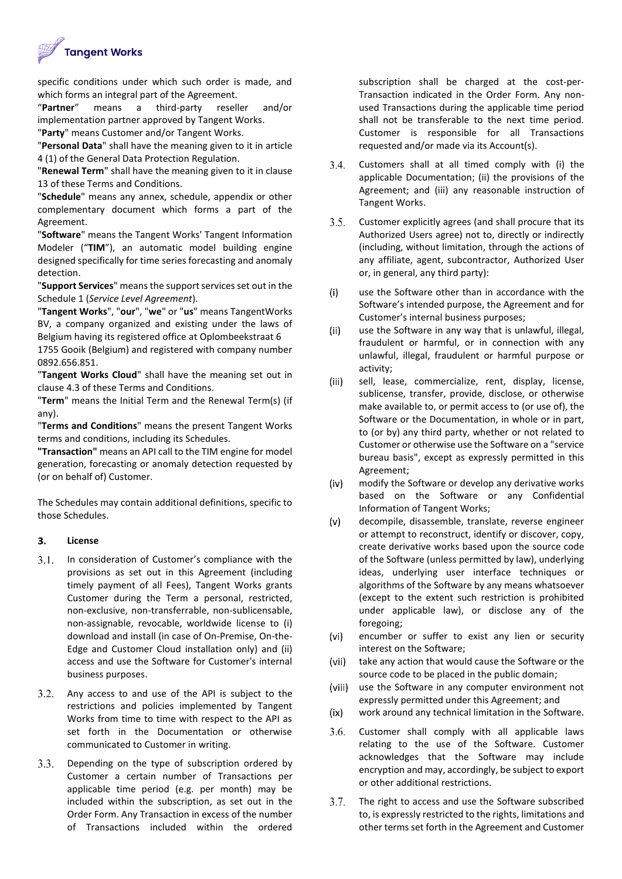

specific conditions under which such order is made, and which forms an integral part of the Agreement.

"**Partner**" means a third-party reseller and/or implementation partner approved by Tangent Works.

"**Party**" means Customer and/or Tangent Works.

"**Personal Data**" shall have the meaning given to it in article 4 (1) of the General Data Protection Regulation.

"**Renewal Term**" shall have the meaning given to it in clause 13 of these Terms and Conditions.

"**Schedule**" means any annex, schedule, appendix or other complementary document which forms a part of the Agreement.

"**Software**" means the Tangent Works' Tangent Information Modeler ("**TIM**"), an automatic model building engine designed specifically for time series forecasting and anomaly detection.

"**Support Services**" means the support services set out in the Schedule 1 (*Service Level Agreement*).

"**Tangent Works**", "**our**", "**we**" or "**us**" means TangentWorks BV, a company organized and existing under the laws of Belgium having its registered office at Oplombeekstraat 6

1755 Gooik (Belgium) and registered with company number 0892.656.851.

"**Tangent Works Cloud**" shall have the meaning set out in clause 4.3 of these Terms and Conditions.

"**Term**" means the Initial Term and the Renewal Term(s) (if any).

"**Terms and Conditions**" means the present Tangent Works terms and conditions, including its Schedules.

**"Transaction"** means an API call to the TIM engine for model generation, forecasting or anomaly detection requested by (or on behalf of) Customer.

The Schedules may contain additional definitions, specific to those Schedules.

## 3. **License**

- $3.1.$ In consideration of Customer's compliance with the provisions as set out in this Agreement (including timely payment of all Fees), Tangent Works grants Customer during the Term a personal, restricted, non-exclusive, non-transferrable, non-sublicensable, non-assignable, revocable, worldwide license to (i) download and install (in case of On-Premise, On-the-Edge and Customer Cloud installation only) and (ii) access and use the Software for Customer's internal business purposes.
- $3.2.$ Any access to and use of the API is subject to the restrictions and policies implemented by Tangent Works from time to time with respect to the API as set forth in the Documentation or otherwise communicated to Customer in writing.
- $3.3.$ Depending on the type of subscription ordered by Customer a certain number of Transactions per applicable time period (e.g. per month) may be included within the subscription, as set out in the Order Form. Any Transaction in excess of the number of Transactions included within the ordered

subscription shall be charged at the cost-per-Transaction indicated in the Order Form. Any nonused Transactions during the applicable time period shall not be transferable to the next time period. Customer is responsible for all Transactions requested and/or made via its Account(s).

- $3.4.$ Customers shall at all timed comply with (i) the applicable Documentation; (ii) the provisions of the Agreement; and (iii) any reasonable instruction of Tangent Works.
- $3.5.$ Customer explicitly agrees (and shall procure that its Authorized Users agree) not to, directly or indirectly (including, without limitation, through the actions of any affiliate, agent, subcontractor, Authorized User or, in general, any third party):
- $(i)$ use the Software other than in accordance with the Software's intended purpose, the Agreement and for Customer's internal business purposes;
- $(ii)$ use the Software in any way that is unlawful, illegal, fraudulent or harmful, or in connection with any unlawful, illegal, fraudulent or harmful purpose or activity;
- $(iii)$ sell, lease, commercialize, rent, display, license, sublicense, transfer, provide, disclose, or otherwise make available to, or permit access to (or use of), the Software or the Documentation, in whole or in part, to (or by) any third party, whether or not related to Customer or otherwise use the Software on a "service bureau basis", except as expressly permitted in this Agreement;
- $(iv)$ modify the Software or develop any derivative works based on the Software or any Confidential Information of Tangent Works;
- $(v)$ decompile, disassemble, translate, reverse engineer or attempt to reconstruct, identify or discover, copy, create derivative works based upon the source code of the Software (unless permitted by law), underlying ideas, underlying user interface techniques or algorithms of the Software by any means whatsoever (except to the extent such restriction is prohibited under applicable law), or disclose any of the foregoing;
- $(v<sub>i</sub>)$ encumber or suffer to exist any lien or security interest on the Software;
- $(vii)$ take any action that would cause the Software or the source code to be placed in the public domain;
- (viii) use the Software in any computer environment not expressly permitted under this Agreement; and
- $(ix)$ work around any technical limitation in the Software.
- $3.6.$ Customer shall comply with all applicable laws relating to the use of the Software. Customer acknowledges that the Software may include encryption and may, accordingly, be subject to export or other additional restrictions.
- 3.7. The right to access and use the Software subscribed to, is expressly restricted to the rights, limitations and other terms set forth in the Agreement and Customer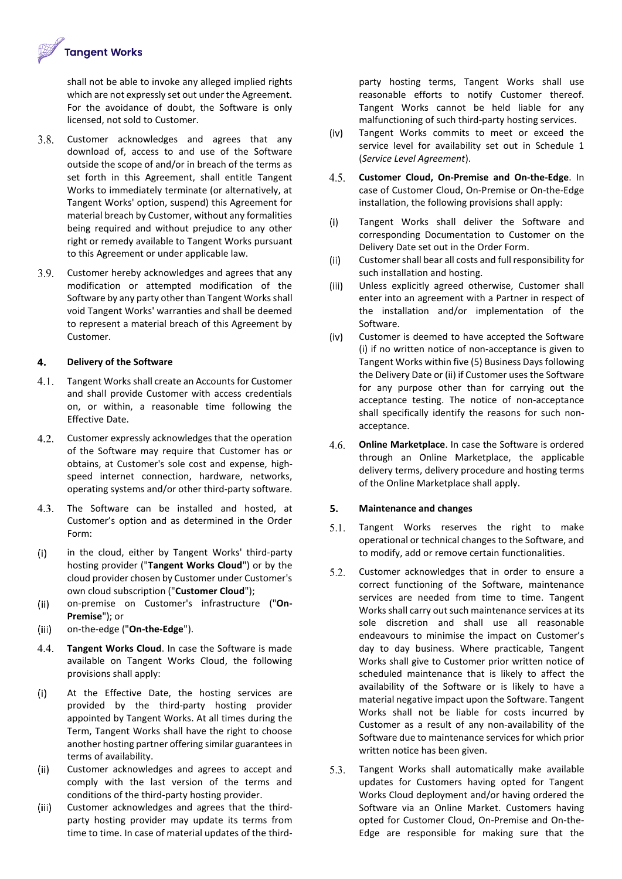

shall not be able to invoke any alleged implied rights which are not expressly set out under the Agreement. For the avoidance of doubt, the Software is only licensed, not sold to Customer.

- $3.8.$ Customer acknowledges and agrees that any download of, access to and use of the Software outside the scope of and/or in breach of the terms as set forth in this Agreement, shall entitle Tangent Works to immediately terminate (or alternatively, at Tangent Works' option, suspend) this Agreement for material breach by Customer, without any formalities being required and without prejudice to any other right or remedy available to Tangent Works pursuant to this Agreement or under applicable law.
- $3.9.$ Customer hereby acknowledges and agrees that any modification or attempted modification of the Software by any party other than Tangent Works shall void Tangent Works' warranties and shall be deemed to represent a material breach of this Agreement by Customer.

## $4.$ **Delivery of the Software**

- $4.1.$ Tangent Works shall create an Accounts for Customer and shall provide Customer with access credentials on, or within, a reasonable time following the Effective Date.
- $4.2.$ Customer expressly acknowledges that the operation of the Software may require that Customer has or obtains, at Customer's sole cost and expense, highspeed internet connection, hardware, networks, operating systems and/or other third-party software.
- $4.3.$ The Software can be installed and hosted, at Customer's option and as determined in the Order Form:
- $(i)$ in the cloud, either by Tangent Works' third-party hosting provider ("**Tangent Works Cloud**") or by the cloud provider chosen by Customer under Customer's own cloud subscription ("**Customer Cloud**");
- $(ii)$ on-premise on Customer's infrastructure ("**On-Premise**"); or
- $(iii)$ on-the-edge ("**On-the-Edge**").
- 4.4. **Tangent Works Cloud**. In case the Software is made available on Tangent Works Cloud, the following provisions shall apply:
- $(i)$ At the Effective Date, the hosting services are provided by the third-party hosting provider appointed by Tangent Works. At all times during the Term, Tangent Works shall have the right to choose another hosting partner offering similar guarantees in terms of availability.
- $(ii)$ Customer acknowledges and agrees to accept and comply with the last version of the terms and conditions of the third-party hosting provider.
- $(iii)$ Customer acknowledges and agrees that the thirdparty hosting provider may update its terms from time to time. In case of material updates of the third-

party hosting terms, Tangent Works shall use reasonable efforts to notify Customer thereof. Tangent Works cannot be held liable for any malfunctioning of such third-party hosting services.

- $(iv)$ Tangent Works commits to meet or exceed the service level for availability set out in Schedule 1 (*Service Level Agreement*).
- $4.5.$ **Customer Cloud, On-Premise and On-the-Edge**. In case of Customer Cloud, On-Premise or On-the-Edge installation, the following provisions shall apply:
- $(i)$ Tangent Works shall deliver the Software and corresponding Documentation to Customer on the Delivery Date set out in the Order Form.
- $(ii)$ Customer shall bear all costs and full responsibility for such installation and hosting.
- $(iii)$ Unless explicitly agreed otherwise, Customer shall enter into an agreement with a Partner in respect of the installation and/or implementation of the Software.
- $(iv)$ Customer is deemed to have accepted the Software (i) if no written notice of non-acceptance is given to Tangent Works within five (5) Business Days following the Delivery Date or (ii) if Customer uses the Software for any purpose other than for carrying out the acceptance testing. The notice of non-acceptance shall specifically identify the reasons for such nonacceptance.
- 4.6. **Online Marketplace**. In case the Software is ordered through an Online Marketplace, the applicable delivery terms, delivery procedure and hosting terms of the Online Marketplace shall apply.

## 5. **Maintenance and changes**

- $5.1.$ Tangent Works reserves the right to make operational or technical changes to the Software, and to modify, add or remove certain functionalities.
- $5.2.$ Customer acknowledges that in order to ensure a correct functioning of the Software, maintenance services are needed from time to time. Tangent Works shall carry out such maintenance services at its sole discretion and shall use all reasonable endeavours to minimise the impact on Customer's day to day business. Where practicable, Tangent Works shall give to Customer prior written notice of scheduled maintenance that is likely to affect the availability of the Software or is likely to have a material negative impact upon the Software. Tangent Works shall not be liable for costs incurred by Customer as a result of any non-availability of the Software due to maintenance services for which prior written notice has been given.
- 5.3. Tangent Works shall automatically make available updates for Customers having opted for Tangent Works Cloud deployment and/or having ordered the Software via an Online Market. Customers having opted for Customer Cloud, On-Premise and On-the-Edge are responsible for making sure that the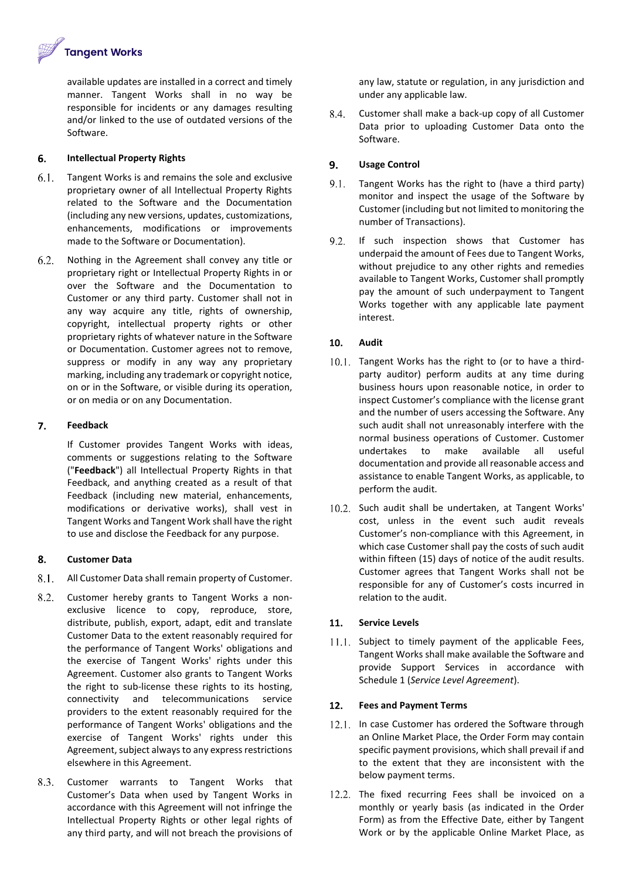**Tangent Works** 

available updates are installed in a correct and timely manner. Tangent Works shall in no way be responsible for incidents or any damages resulting and/or linked to the use of outdated versions of the Software.

### 6. **Intellectual Property Rights**

- $6.1.$ Tangent Works is and remains the sole and exclusive proprietary owner of all Intellectual Property Rights related to the Software and the Documentation (including any new versions, updates, customizations, enhancements, modifications or improvements made to the Software or Documentation).
- Nothing in the Agreement shall convey any title or  $6.2.$ proprietary right or Intellectual Property Rights in or over the Software and the Documentation to Customer or any third party. Customer shall not in any way acquire any title, rights of ownership, copyright, intellectual property rights or other proprietary rights of whatever nature in the Software or Documentation. Customer agrees not to remove, suppress or modify in any way any proprietary marking, including any trademark or copyright notice, on or in the Software, or visible during its operation, or on media or on any Documentation.

### $\overline{7}$ . **Feedback**

If Customer provides Tangent Works with ideas, comments or suggestions relating to the Software ("**Feedback**") all Intellectual Property Rights in that Feedback, and anything created as a result of that Feedback (including new material, enhancements, modifications or derivative works), shall vest in Tangent Works and Tangent Work shall have the right to use and disclose the Feedback for any purpose.

### 8. **Customer Data**

- $8.1$ All Customer Data shall remain property of Customer.
- 8.2. Customer hereby grants to Tangent Works a nonexclusive licence to copy, reproduce, store, distribute, publish, export, adapt, edit and translate Customer Data to the extent reasonably required for the performance of Tangent Works' obligations and the exercise of Tangent Works' rights under this Agreement. Customer also grants to Tangent Works the right to sub-license these rights to its hosting, connectivity and telecommunications service providers to the extent reasonably required for the performance of Tangent Works' obligations and the exercise of Tangent Works' rights under this Agreement, subject always to any express restrictions elsewhere in this Agreement.
- 8.3. Customer warrants to Tangent Works that Customer's Data when used by Tangent Works in accordance with this Agreement will not infringe the Intellectual Property Rights or other legal rights of any third party, and will not breach the provisions of

any law, statute or regulation, in any jurisdiction and under any applicable law.

8.4. Customer shall make a back-up copy of all Customer Data prior to uploading Customer Data onto the Software.

## 9. **Usage Control**

- $9.1.$ Tangent Works has the right to (have a third party) monitor and inspect the usage of the Software by Customer (including but not limited to monitoring the number of Transactions).
- 9.2. If such inspection shows that Customer has underpaid the amount of Fees due to Tangent Works, without prejudice to any other rights and remedies available to Tangent Works, Customer shall promptly pay the amount of such underpayment to Tangent Works together with any applicable late payment interest.

## 10. **Audit**

- 10.1. Tangent Works has the right to (or to have a thirdparty auditor) perform audits at any time during business hours upon reasonable notice, in order to inspect Customer's compliance with the license grant and the number of users accessing the Software. Any such audit shall not unreasonably interfere with the normal business operations of Customer. Customer undertakes to make available all useful documentation and provide all reasonable access and assistance to enable Tangent Works, as applicable, to perform the audit.
- 10.2. Such audit shall be undertaken, at Tangent Works' cost, unless in the event such audit reveals Customer's non-compliance with this Agreement, in which case Customer shall pay the costs of such audit within fifteen (15) days of notice of the audit results. Customer agrees that Tangent Works shall not be responsible for any of Customer's costs incurred in relation to the audit.

## **Service Levels**  $11.$

 $11.1.$  Subject to timely payment of the applicable Fees, Tangent Works shall make available the Software and provide Support Services in accordance with Schedule 1 (*Service Level Agreement*).

## $12.$ **Fees and Payment Terms**

- 12.1. In case Customer has ordered the Software through an Online Market Place, the Order Form may contain specific payment provisions, which shall prevail if and to the extent that they are inconsistent with the below payment terms.
- 12.2. The fixed recurring Fees shall be invoiced on a monthly or yearly basis (as indicated in the Order Form) as from the Effective Date, either by Tangent Work or by the applicable Online Market Place, as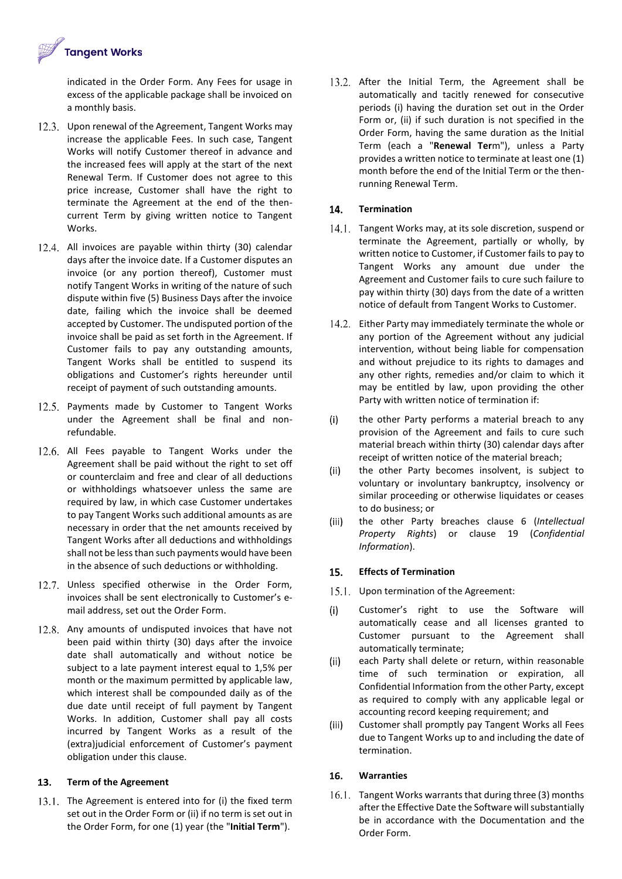

indicated in the Order Form. Any Fees for usage in excess of the applicable package shall be invoiced on a monthly basis.

- 12.3. Upon renewal of the Agreement, Tangent Works may increase the applicable Fees. In such case, Tangent Works will notify Customer thereof in advance and the increased fees will apply at the start of the next Renewal Term. If Customer does not agree to this price increase, Customer shall have the right to terminate the Agreement at the end of the thencurrent Term by giving written notice to Tangent Works.
- 12.4. All invoices are payable within thirty (30) calendar days after the invoice date. If a Customer disputes an invoice (or any portion thereof), Customer must notify Tangent Works in writing of the nature of such dispute within five (5) Business Days after the invoice date, failing which the invoice shall be deemed accepted by Customer. The undisputed portion of the invoice shall be paid as set forth in the Agreement. If Customer fails to pay any outstanding amounts, Tangent Works shall be entitled to suspend its obligations and Customer's rights hereunder until receipt of payment of such outstanding amounts.
- 12.5. Payments made by Customer to Tangent Works under the Agreement shall be final and nonrefundable.
- 12.6. All Fees payable to Tangent Works under the Agreement shall be paid without the right to set off or counterclaim and free and clear of all deductions or withholdings whatsoever unless the same are required by law, in which case Customer undertakes to pay Tangent Works such additional amounts as are necessary in order that the net amounts received by Tangent Works after all deductions and withholdings shall not be less than such payments would have been in the absence of such deductions or withholding.
- 12.7. Unless specified otherwise in the Order Form, invoices shall be sent electronically to Customer's email address, set out the Order Form.
- 12.8. Any amounts of undisputed invoices that have not been paid within thirty (30) days after the invoice date shall automatically and without notice be subject to a late payment interest equal to 1,5% per month or the maximum permitted by applicable law, which interest shall be compounded daily as of the due date until receipt of full payment by Tangent Works. In addition, Customer shall pay all costs incurred by Tangent Works as a result of the (extra)judicial enforcement of Customer's payment obligation under this clause.

## 13. **Term of the Agreement**

13.1. The Agreement is entered into for (i) the fixed term set out in the Order Form or (ii) if no term is set out in the Order Form, for one (1) year (the "**Initial Term**").

13.2. After the Initial Term, the Agreement shall be automatically and tacitly renewed for consecutive periods (i) having the duration set out in the Order Form or, (ii) if such duration is not specified in the Order Form, having the same duration as the Initial Term (each a "**Renewal Ter**m"), unless a Party provides a written notice to terminate at least one (1) month before the end of the Initial Term or the thenrunning Renewal Term.

## $14.$ **Termination**

- 14.1. Tangent Works may, at its sole discretion, suspend or terminate the Agreement, partially or wholly, by written notice to Customer, if Customer fails to pay to Tangent Works any amount due under the Agreement and Customer fails to cure such failure to pay within thirty (30) days from the date of a written notice of default from Tangent Works to Customer.
- 14.2. Either Party may immediately terminate the whole or any portion of the Agreement without any judicial intervention, without being liable for compensation and without prejudice to its rights to damages and any other rights, remedies and/or claim to which it may be entitled by law, upon providing the other Party with written notice of termination if:
- $(i)$ the other Party performs a material breach to any provision of the Agreement and fails to cure such material breach within thirty (30) calendar days after receipt of written notice of the material breach;
- $(ii)$ the other Party becomes insolvent, is subject to voluntary or involuntary bankruptcy, insolvency or similar proceeding or otherwise liquidates or ceases to do business; or
- $(iii)$ the other Party breaches clause 6 (*Intellectual Property Rights*) or clause 19 (*Confidential Information*).

## $15.$ **Effects of Termination**

- 15.1. Upon termination of the Agreement:
- Customer's right to use the Software will  $(i)$ automatically cease and all licenses granted to Customer pursuant to the Agreement shall automatically terminate;
- $(ii)$ each Party shall delete or return, within reasonable time of such termination or expiration, all Confidential Information from the other Party, except as required to comply with any applicable legal or accounting record keeping requirement; and
- $(iii)$ Customer shall promptly pay Tangent Works all Fees due to Tangent Works up to and including the date of termination.

## 16. **Warranties**

16.1. Tangent Works warrants that during three (3) months after the Effective Date the Software will substantially be in accordance with the Documentation and the Order Form.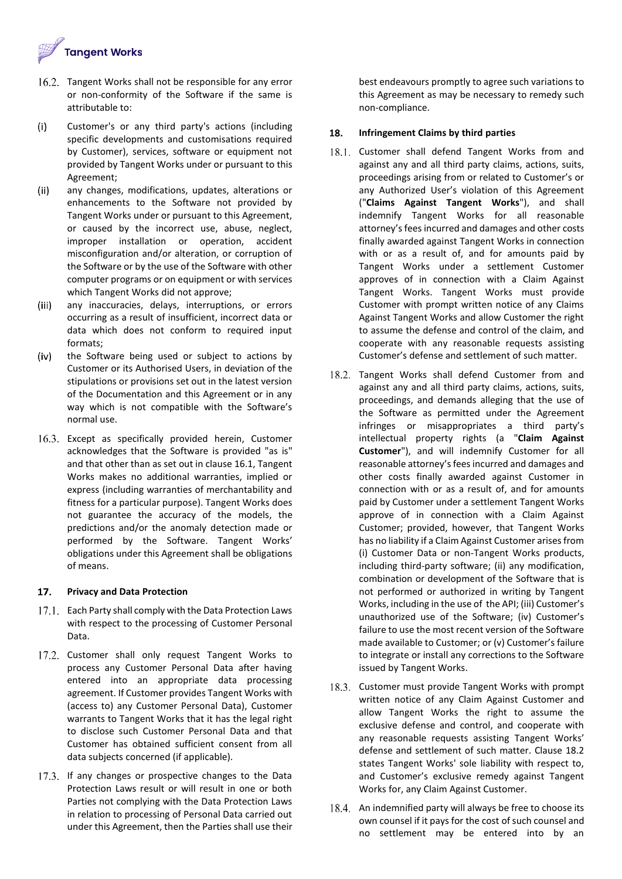

- 16.2. Tangent Works shall not be responsible for any error or non-conformity of the Software if the same is attributable to:
- $(i)$ Customer's or any third party's actions (including specific developments and customisations required by Customer), services, software or equipment not provided by Tangent Works under or pursuant to this Agreement;
- $(ii)$ any changes, modifications, updates, alterations or enhancements to the Software not provided by Tangent Works under or pursuant to this Agreement, or caused by the incorrect use, abuse, neglect, improper installation or operation, accident misconfiguration and/or alteration, or corruption of the Software or by the use of the Software with other computer programs or on equipment or with services which Tangent Works did not approve;
- $(iii)$ any inaccuracies, delays, interruptions, or errors occurring as a result of insufficient, incorrect data or data which does not conform to required input formats;
- $(iv)$ the Software being used or subject to actions by Customer or its Authorised Users, in deviation of the stipulations or provisions set out in the latest version of the Documentation and this Agreement or in any way which is not compatible with the Software's normal use.
- 16.3. Except as specifically provided herein, Customer acknowledges that the Software is provided "as is" and that other than as set out in clause 16.1, Tangent Works makes no additional warranties, implied or express (including warranties of merchantability and fitness for a particular purpose). Tangent Works does not guarantee the accuracy of the models, the predictions and/or the anomaly detection made or performed by the Software. Tangent Works' obligations under this Agreement shall be obligations of means.

### $17.$ **Privacy and Data Protection**

- 17.1. Each Party shall comply with the Data Protection Laws with respect to the processing of Customer Personal Data.
- 17.2. Customer shall only request Tangent Works to process any Customer Personal Data after having entered into an appropriate data processing agreement. If Customer provides Tangent Works with (access to) any Customer Personal Data), Customer warrants to Tangent Works that it has the legal right to disclose such Customer Personal Data and that Customer has obtained sufficient consent from all data subjects concerned (if applicable).
- 17.3. If any changes or prospective changes to the Data Protection Laws result or will result in one or both Parties not complying with the Data Protection Laws in relation to processing of Personal Data carried out under this Agreement, then the Parties shall use their

best endeavours promptly to agree such variations to this Agreement as may be necessary to remedy such non-compliance.

## 18. **Infringement Claims by third parties**

- 18.1. Customer shall defend Tangent Works from and against any and all third party claims, actions, suits, proceedings arising from or related to Customer's or any Authorized User's violation of this Agreement ("**Claims Against Tangent Works**"), and shall indemnify Tangent Works for all reasonable attorney's fees incurred and damages and other costs finally awarded against Tangent Works in connection with or as a result of, and for amounts paid by Tangent Works under a settlement Customer approves of in connection with a Claim Against Tangent Works. Tangent Works must provide Customer with prompt written notice of any Claims Against Tangent Works and allow Customer the right to assume the defense and control of the claim, and cooperate with any reasonable requests assisting Customer's defense and settlement of such matter.
- 18.2. Tangent Works shall defend Customer from and against any and all third party claims, actions, suits, proceedings, and demands alleging that the use of the Software as permitted under the Agreement infringes or misappropriates a third party's intellectual property rights (a "**Claim Against Customer**"), and will indemnify Customer for all reasonable attorney's fees incurred and damages and other costs finally awarded against Customer in connection with or as a result of, and for amounts paid by Customer under a settlement Tangent Works approve of in connection with a Claim Against Customer; provided, however, that Tangent Works has no liability if a Claim Against Customer arises from (i) Customer Data or non-Tangent Works products, including third-party software; (ii) any modification, combination or development of the Software that is not performed or authorized in writing by Tangent Works, including in the use of the API; (iii) Customer's unauthorized use of the Software; (iv) Customer's failure to use the most recent version of the Software made available to Customer; or (v) Customer's failure to integrate or install any corrections to the Software issued by Tangent Works.
- 18.3. Customer must provide Tangent Works with prompt written notice of any Claim Against Customer and allow Tangent Works the right to assume the exclusive defense and control, and cooperate with any reasonable requests assisting Tangent Works' defense and settlement of such matter. Clause 18.2 states Tangent Works' sole liability with respect to, and Customer's exclusive remedy against Tangent Works for, any Claim Against Customer.
- 18.4. An indemnified party will always be free to choose its own counsel if it pays for the cost of such counsel and no settlement may be entered into by an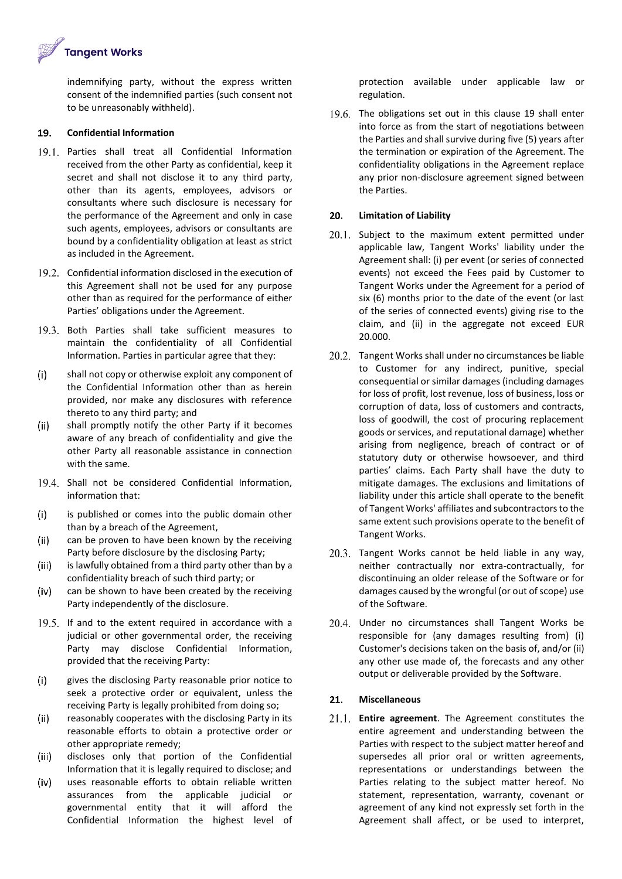**Tangent Works** 

indemnifying party, without the express written consent of the indemnified parties (such consent not to be unreasonably withheld).

#### 19. **Confidential Information**

- 19.1. Parties shall treat all Confidential Information received from the other Party as confidential, keep it secret and shall not disclose it to any third party, other than its agents, employees, advisors or consultants where such disclosure is necessary for the performance of the Agreement and only in case such agents, employees, advisors or consultants are bound by a confidentiality obligation at least as strict as included in the Agreement.
- 19.2. Confidential information disclosed in the execution of this Agreement shall not be used for any purpose other than as required for the performance of either Parties' obligations under the Agreement.
- 19.3. Both Parties shall take sufficient measures to maintain the confidentiality of all Confidential Information. Parties in particular agree that they:
- $(i)$ shall not copy or otherwise exploit any component of the Confidential Information other than as herein provided, nor make any disclosures with reference thereto to any third party; and
- $(ii)$ shall promptly notify the other Party if it becomes aware of any breach of confidentiality and give the other Party all reasonable assistance in connection with the same.
- 19.4. Shall not be considered Confidential Information, information that:
- $(i)$ is published or comes into the public domain other than by a breach of the Agreement,
- $(ii)$ can be proven to have been known by the receiving Party before disclosure by the disclosing Party;
- $(iii)$ is lawfully obtained from a third party other than by a confidentiality breach of such third party; or
- $(iv)$ can be shown to have been created by the receiving Party independently of the disclosure.
- 19.5. If and to the extent required in accordance with a judicial or other governmental order, the receiving Party may disclose Confidential Information, provided that the receiving Party:
- gives the disclosing Party reasonable prior notice to  $(i)$ seek a protective order or equivalent, unless the receiving Party is legally prohibited from doing so;
- $(ii)$ reasonably cooperates with the disclosing Party in its reasonable efforts to obtain a protective order or other appropriate remedy;
- $(iii)$ discloses only that portion of the Confidential Information that it is legally required to disclose; and
- $(iv)$ uses reasonable efforts to obtain reliable written assurances from the applicable judicial or governmental entity that it will afford the Confidential Information the highest level of

protection available under applicable law or regulation.

19.6. The obligations set out in this clause 19 shall enter into force as from the start of negotiations between the Parties and shall survive during five (5) years after the termination or expiration of the Agreement. The confidentiality obligations in the Agreement replace any prior non-disclosure agreement signed between the Parties.

### 20. **Limitation of Liability**

- $20.1$ . Subject to the maximum extent permitted under applicable law, Tangent Works' liability under the Agreement shall: (i) per event (or series of connected events) not exceed the Fees paid by Customer to Tangent Works under the Agreement for a period of six (6) months prior to the date of the event (or last of the series of connected events) giving rise to the claim, and (ii) in the aggregate not exceed EUR 20.000.
- 20.2. Tangent Works shall under no circumstances be liable to Customer for any indirect, punitive, special consequential or similar damages (including damages for loss of profit, lost revenue, loss of business, loss or corruption of data, loss of customers and contracts, loss of goodwill, the cost of procuring replacement goods or services, and reputational damage) whether arising from negligence, breach of contract or of statutory duty or otherwise howsoever, and third parties' claims. Each Party shall have the duty to mitigate damages. The exclusions and limitations of liability under this article shall operate to the benefit of Tangent Works' affiliates and subcontractors to the same extent such provisions operate to the benefit of Tangent Works.
- 20.3. Tangent Works cannot be held liable in any way, neither contractually nor extra-contractually, for discontinuing an older release of the Software or for damages caused by the wrongful (or out of scope) use of the Software.
- 20.4. Under no circumstances shall Tangent Works be responsible for (any damages resulting from) (i) Customer's decisions taken on the basis of, and/or (ii) any other use made of, the forecasts and any other output or deliverable provided by the Software.

### $21.$ **Miscellaneous**

**Entire agreement**. The Agreement constitutes the entire agreement and understanding between the Parties with respect to the subject matter hereof and supersedes all prior oral or written agreements, representations or understandings between the Parties relating to the subject matter hereof. No statement, representation, warranty, covenant or agreement of any kind not expressly set forth in the Agreement shall affect, or be used to interpret,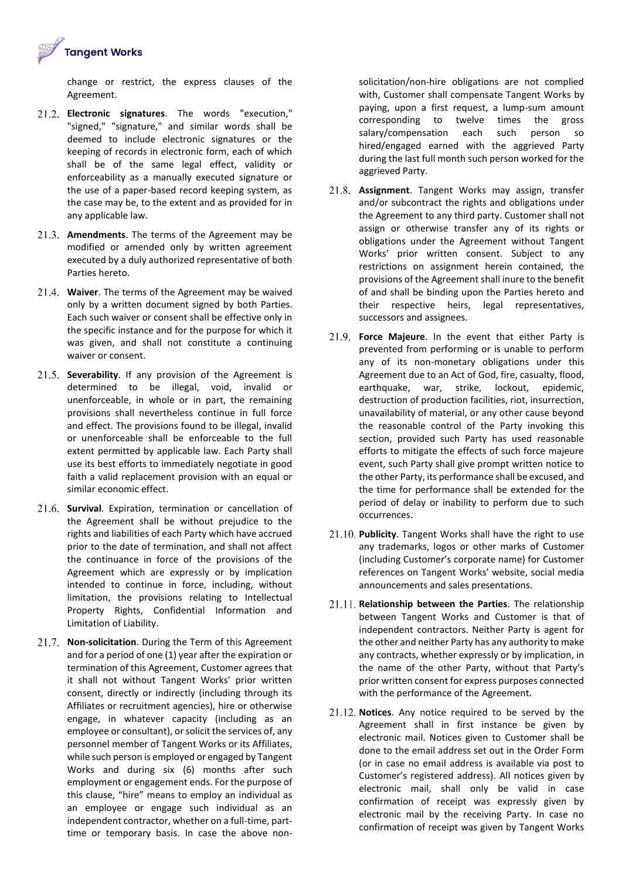

change or restrict, the express clauses of the Agreement.

- **Electronic signatures**. The words "execution," "signed," "signature," and similar words shall be deemed to include electronic signatures or the keeping of records in electronic form, each of which shall be of the same legal effect, validity or enforceability as a manually executed signature or the use of a paper-based record keeping system, as the case may be, to the extent and as provided for in any applicable law.
- **Amendments**. The terms of the Agreement may be modified or amended only by written agreement executed by a duly authorized representative of both Parties hereto.
- **Waiver**. The terms of the Agreement may be waived only by a written document signed by both Parties. Each such waiver or consent shall be effective only in the specific instance and for the purpose for which it was given, and shall not constitute a continuing waiver or consent.
- 21.5. **Severability**. If any provision of the Agreement is determined to be illegal, void, invalid or unenforceable, in whole or in part, the remaining provisions shall nevertheless continue in full force and effect. The provisions found to be illegal, invalid or unenforceable shall be enforceable to the full extent permitted by applicable law. Each Party shall use its best efforts to immediately negotiate in good faith a valid replacement provision with an equal or similar economic effect.
- **Survival**. Expiration, termination or cancellation of the Agreement shall be without prejudice to the rights and liabilities of each Party which have accrued prior to the date of termination, and shall not affect the continuance in force of the provisions of the Agreement which are expressly or by implication intended to continue in force, including, without limitation, the provisions relating to Intellectual Property Rights, Confidential Information and Limitation of Liability.
- **Non-solicitation**. During the Term of this Agreement and for a period of one (1) year after the expiration or termination of this Agreement, Customer agrees that it shall not without Tangent Works' prior written consent, directly or indirectly (including through its Affiliates or recruitment agencies), hire or otherwise engage, in whatever capacity (including as an employee or consultant), or solicit the services of, any personnel member of Tangent Works or its Affiliates, while such person is employed or engaged by Tangent Works and during six (6) months after such employment or engagement ends. For the purpose of this clause, "hire" means to employ an individual as an employee or engage such individual as an independent contractor, whether on a full-time, parttime or temporary basis. In case the above non-

solicitation/non-hire obligations are not complied with, Customer shall compensate Tangent Works by paying, upon a first request, a lump-sum amount corresponding to twelve times the gross salary/compensation each such person so hired/engaged earned with the aggrieved Party during the last full month such person worked for the aggrieved Party.

- **Assignment**. Tangent Works may assign, transfer and/or subcontract the rights and obligations under the Agreement to any third party. Customer shall not assign or otherwise transfer any of its rights or obligations under the Agreement without Tangent Works' prior written consent. Subject to any restrictions on assignment herein contained, the provisions of the Agreement shall inure to the benefit of and shall be binding upon the Parties hereto and their respective heirs, legal representatives, successors and assignees.
- **Force Majeure**. In the event that either Party is prevented from performing or is unable to perform any of its non-monetary obligations under this Agreement due to an Act of God, fire, casualty, flood, earthquake, war, strike, lockout, epidemic, destruction of production facilities, riot, insurrection, unavailability of material, or any other cause beyond the reasonable control of the Party invoking this section, provided such Party has used reasonable efforts to mitigate the effects of such force majeure event, such Party shall give prompt written notice to the other Party, its performance shall be excused, and the time for performance shall be extended for the period of delay or inability to perform due to such occurrences.
- **Publicity**. Tangent Works shall have the right to use any trademarks, logos or other marks of Customer (including Customer's corporate name) for Customer references on Tangent Works' website, social media announcements and sales presentations.
- **Relationship between the Parties**. The relationship between Tangent Works and Customer is that of independent contractors. Neither Party is agent for the other and neither Party has any authority to make any contracts, whether expressly or by implication, in the name of the other Party, without that Party's prior written consent for express purposes connected with the performance of the Agreement.
- 21.12. Notices. Any notice required to be served by the Agreement shall in first instance be given by electronic mail. Notices given to Customer shall be done to the email address set out in the Order Form (or in case no email address is available via post to Customer's registered address). All notices given by electronic mail, shall only be valid in case confirmation of receipt was expressly given by electronic mail by the receiving Party. In case no confirmation of receipt was given by Tangent Works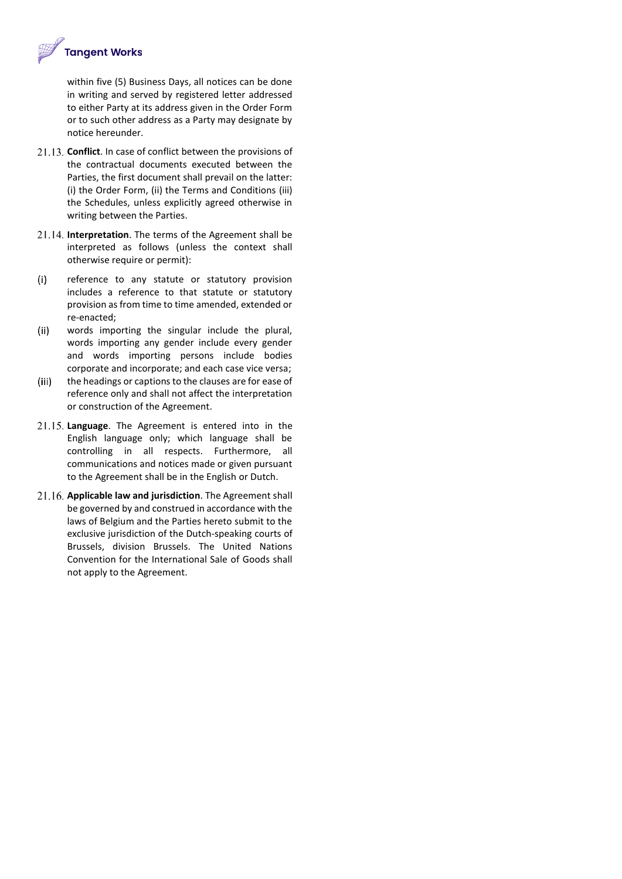

within five (5) Business Days, all notices can be done in writing and served by registered letter addressed to either Party at its address given in the Order Form or to such other address as a Party may designate by notice hereunder.

- **Conflict**. In case of conflict between the provisions of the contractual documents executed between the Parties, the first document shall prevail on the latter: (i) the Order Form, (ii) the Terms and Conditions (iii) the Schedules, unless explicitly agreed otherwise in writing between the Parties.
- **Interpretation**. The terms of the Agreement shall be interpreted as follows (unless the context shall otherwise require or permit):
- $(i)$ reference to any statute or statutory provision includes a reference to that statute or statutory provision as from time to time amended, extended or re-enacted;
- $(ii)$ words importing the singular include the plural, words importing any gender include every gender and words importing persons include bodies corporate and incorporate; and each case vice versa;
- $(iii)$ the headings or captions to the clauses are for ease of reference only and shall not affect the interpretation or construction of the Agreement.
- **Language**. The Agreement is entered into in the English language only; which language shall be controlling in all respects. Furthermore, all communications and notices made or given pursuant to the Agreement shall be in the English or Dutch.
- **Applicable law and jurisdiction**. The Agreement shall be governed by and construed in accordance with the laws of Belgium and the Parties hereto submit to the exclusive jurisdiction of the Dutch-speaking courts of Brussels, division Brussels. The United Nations Convention for the International Sale of Goods shall not apply to the Agreement.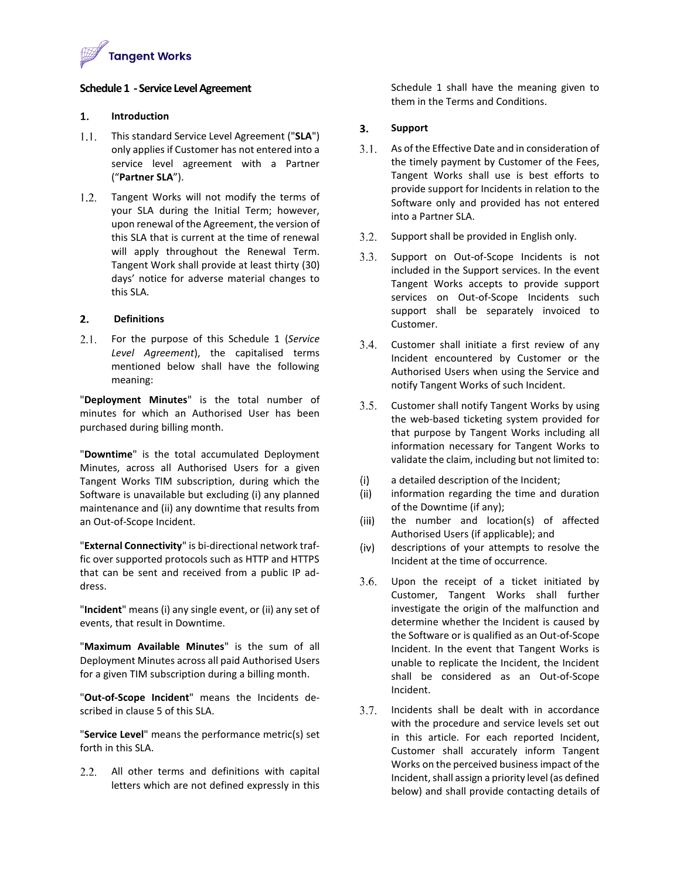

## **Schedule 1 -Service Level Agreement**

#### 1. **Introduction**

- This standard Service Level Agreement ("**SLA**") only applies if Customer has not entered into a service level agreement with a Partner ("**Partner SLA**").
- 1.2. Tangent Works will not modify the terms of your SLA during the Initial Term; however, upon renewal of the Agreement, the version of this SLA that is current at the time of renewal will apply throughout the Renewal Term. Tangent Work shall provide at least thirty (30) days' notice for adverse material changes to this SLA.

#### **Definitions**  $2.$

 $2.1.$ For the purpose of this Schedule 1 (*Service Level Agreement*), the capitalised terms mentioned below shall have the following meaning:

"**Deployment Minutes**" is the total number of minutes for which an Authorised User has been purchased during billing month.

"**Downtime**" is the total accumulated Deployment Minutes, across all Authorised Users for a given Tangent Works TIM subscription, during which the Software is unavailable but excluding (i) any planned maintenance and (ii) any downtime that results from an Out-of-Scope Incident.

"**External Connectivity**" is bi-directional network traffic over supported protocols such as HTTP and HTTPS that can be sent and received from a public IP address.

"**Incident**" means (i) any single event, or (ii) any set of events, that result in Downtime.

"**Maximum Available Minutes**" is the sum of all Deployment Minutes across all paid Authorised Users for a given TIM subscription during a billing month.

"**Out-of-Scope Incident**" means the Incidents described in clause 5 of this SLA.

"**Service Level**" means the performance metric(s) set forth in this SLA.

2.2. All other terms and definitions with capital letters which are not defined expressly in this Schedule 1 shall have the meaning given to them in the Terms and Conditions.

### 3. **Support**

- $3.1.$ As of the Effective Date and in consideration of the timely payment by Customer of the Fees, Tangent Works shall use is best efforts to provide support for Incidents in relation to the Software only and provided has not entered into a Partner SLA.
- 3.2. Support shall be provided in English only.
- $3.3.$ Support on Out-of-Scope Incidents is not included in the Support services. In the event Tangent Works accepts to provide support services on Out-of-Scope Incidents such support shall be separately invoiced to Customer.
- 3.4. Customer shall initiate a first review of any Incident encountered by Customer or the Authorised Users when using the Service and notify Tangent Works of such Incident.
- 3.5. Customer shall notify Tangent Works by using the web-based ticketing system provided for that purpose by Tangent Works including all information necessary for Tangent Works to validate the claim, including but not limited to:
- $(i)$ a detailed description of the Incident;
- $(ii)$ information regarding the time and duration of the Downtime (if any);
- $(iii)$ the number and location(s) of affected Authorised Users (if applicable); and
- $(iv)$ descriptions of your attempts to resolve the Incident at the time of occurrence.
- $3.6.$ Upon the receipt of a ticket initiated by Customer, Tangent Works shall further investigate the origin of the malfunction and determine whether the Incident is caused by the Software or is qualified as an Out-of-Scope Incident. In the event that Tangent Works is unable to replicate the Incident, the Incident shall be considered as an Out-of-Scope Incident.
- Incidents shall be dealt with in accordance  $3.7.$ with the procedure and service levels set out in this article. For each reported Incident, Customer shall accurately inform Tangent Works on the perceived business impact of the Incident, shall assign a priority level (as defined below) and shall provide contacting details of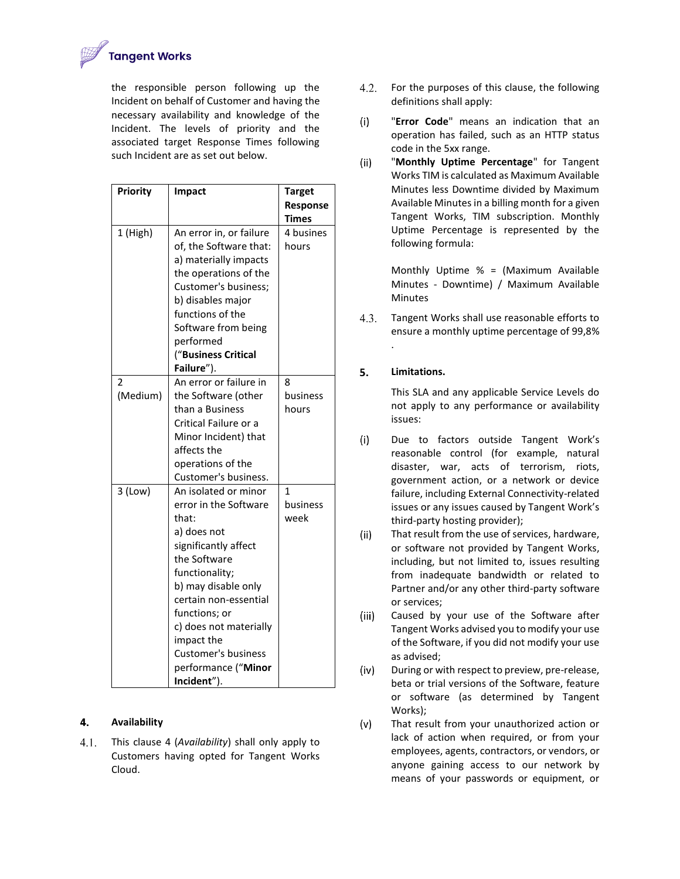

the responsible person following up the Incident on behalf of Customer and having the necessary availability and knowledge of the Incident. The levels of priority and the associated target Response Times following such Incident are as set out below.

| <b>Priority</b> | <b>Impact</b>                                                                                                                                                                                                                                                                                                | <b>Target</b>            |
|-----------------|--------------------------------------------------------------------------------------------------------------------------------------------------------------------------------------------------------------------------------------------------------------------------------------------------------------|--------------------------|
|                 |                                                                                                                                                                                                                                                                                                              | Response<br><b>Times</b> |
| 1 (High)        | An error in, or failure<br>of, the Software that:<br>a) materially impacts<br>the operations of the<br>Customer's business;<br>b) disables major<br>functions of the<br>Software from being<br>performed<br>("Business Critical<br>Failure").                                                                | 4 busines<br>hours       |
| 2<br>(Medium)   | An error or failure in<br>the Software (other<br>than a Business<br>Critical Failure or a<br>Minor Incident) that<br>affects the<br>operations of the<br>Customer's business.                                                                                                                                | 8<br>business<br>hours   |
| $3$ (Low)       | An isolated or minor<br>error in the Software<br>that:<br>a) does not<br>significantly affect<br>the Software<br>functionality;<br>b) may disable only<br>certain non-essential<br>functions; or<br>c) does not materially<br>impact the<br><b>Customer's business</b><br>performance ("Minor<br>Incident"). | 1<br>business<br>week    |

### 4. **Availability**

 $4.1.$ This clause 4 (*Availability*) shall only apply to Customers having opted for Tangent Works Cloud.

- $4.2.$ For the purposes of this clause, the following definitions shall apply:
- $(i)$ "**Error Code**" means an indication that an operation has failed, such as an HTTP status code in the 5xx range.
- $(ii)$ "**Monthly Uptime Percentage**" for Tangent Works TIM is calculated as Maximum Available Minutes less Downtime divided by Maximum Available Minutes in a billing month for a given Tangent Works, TIM subscription. Monthly Uptime Percentage is represented by the following formula:

Monthly Uptime % = (Maximum Available Minutes - Downtime) / Maximum Available Minutes

 $4.3.$ Tangent Works shall use reasonable efforts to ensure a monthly uptime percentage of 99,8%

## 5. **Limitations.**

.

This SLA and any applicable Service Levels do not apply to any performance or availability issues:

- $(i)$ Due to factors outside Tangent Work's reasonable control (for example, natural disaster, war, acts of terrorism, riots, government action, or a network or device failure, including External Connectivity-related issues or any issues caused by Tangent Work's third-party hosting provider);
- $(ii)$ That result from the use of services, hardware, or software not provided by Tangent Works, including, but not limited to, issues resulting from inadequate bandwidth or related to Partner and/or any other third-party software or services;
- Caused by your use of the Software after  $(iii)$ Tangent Works advised you to modify your use of the Software, if you did not modify your use as advised;
- $(iv)$ During or with respect to preview, pre-release, beta or trial versions of the Software, feature or software (as determined by Tangent Works);
- $(v)$ That result from your unauthorized action or lack of action when required, or from your employees, agents, contractors, or vendors, or anyone gaining access to our network by means of your passwords or equipment, or